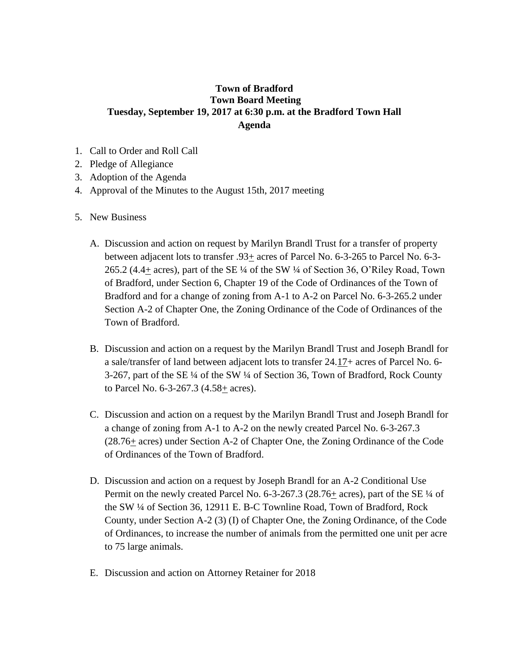## **Town of Bradford Town Board Meeting Tuesday, September 19, 2017 at 6:30 p.m. at the Bradford Town Hall Agenda**

- 1. Call to Order and Roll Call
- 2. Pledge of Allegiance
- 3. Adoption of the Agenda
- 4. Approval of the Minutes to the August 15th, 2017 meeting
- 5. New Business
	- A. Discussion and action on request by Marilyn Brandl Trust for a transfer of property between adjacent lots to transfer  $.93\pm$  acres of Parcel No. 6-3-265 to Parcel No. 6-3-265.2 (4.4+ acres), part of the SE ¼ of the SW ¼ of Section 36, O'Riley Road, Town of Bradford, under Section 6, Chapter 19 of the Code of Ordinances of the Town of Bradford and for a change of zoning from A-1 to A-2 on Parcel No. 6-3-265.2 under Section A-2 of Chapter One, the Zoning Ordinance of the Code of Ordinances of the Town of Bradford.
	- B. Discussion and action on a request by the Marilyn Brandl Trust and Joseph Brandl for a sale/transfer of land between adjacent lots to transfer 24.17+ acres of Parcel No. 6- 3-267, part of the SE ¼ of the SW ¼ of Section 36, Town of Bradford, Rock County to Parcel No. 6-3-267.3 (4.58+ acres).
	- C. Discussion and action on a request by the Marilyn Brandl Trust and Joseph Brandl for a change of zoning from A-1 to A-2 on the newly created Parcel No. 6-3-267.3 (28.76+ acres) under Section A-2 of Chapter One, the Zoning Ordinance of the Code of Ordinances of the Town of Bradford.
	- D. Discussion and action on a request by Joseph Brandl for an A-2 Conditional Use Permit on the newly created Parcel No. 6-3-267.3 (28.76+ acres), part of the SE ¼ of the SW ¼ of Section 36, 12911 E. B-C Townline Road, Town of Bradford, Rock County, under Section A-2 (3) (I) of Chapter One, the Zoning Ordinance, of the Code of Ordinances, to increase the number of animals from the permitted one unit per acre to 75 large animals.
	- E. Discussion and action on Attorney Retainer for 2018